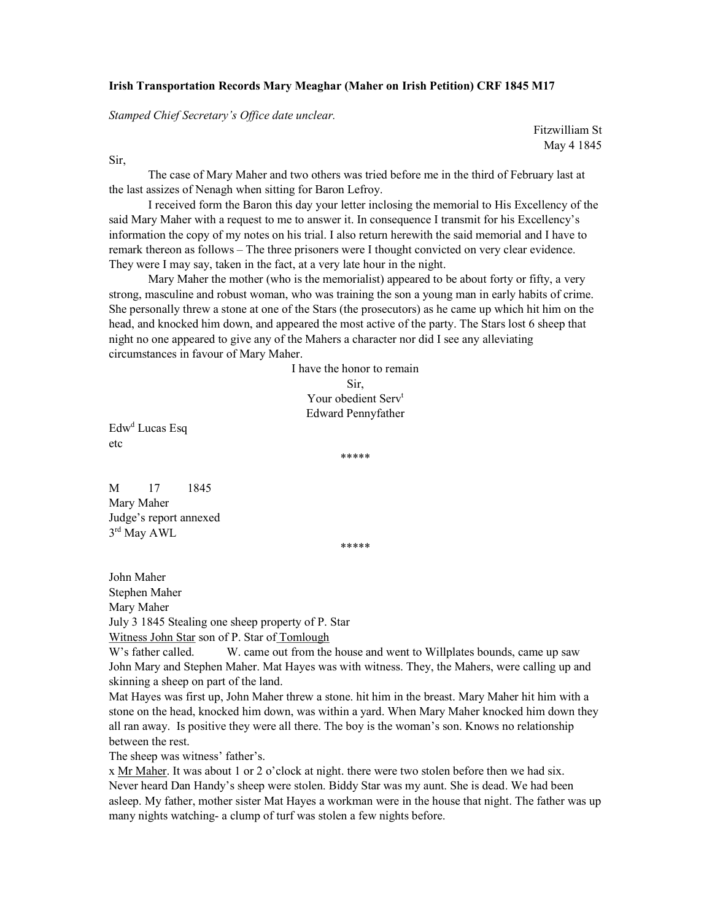## Irish Transportation Records Mary Meaghar (Maher on Irish Petition) CRF 1845 M17

Stamped Chief Secretary's Office date unclear.

Fitzwilliam St May 4 1845

Sir,

 The case of Mary Maher and two others was tried before me in the third of February last at the last assizes of Nenagh when sitting for Baron Lefroy.

I received form the Baron this day your letter inclosing the memorial to His Excellency of the said Mary Maher with a request to me to answer it. In consequence I transmit for his Excellency's information the copy of my notes on his trial. I also return herewith the said memorial and I have to remark thereon as follows – The three prisoners were I thought convicted on very clear evidence. They were I may say, taken in the fact, at a very late hour in the night.

Mary Maher the mother (who is the memorialist) appeared to be about forty or fifty, a very strong, masculine and robust woman, who was training the son a young man in early habits of crime. She personally threw a stone at one of the Stars (the prosecutors) as he came up which hit him on the head, and knocked him down, and appeared the most active of the party. The Stars lost 6 sheep that night no one appeared to give any of the Mahers a character nor did I see any alleviating circumstances in favour of Mary Maher.

> I have the honor to remain Sir, Your obedient Serv<sup>t</sup> Edward Pennyfather

Edw<sup>d</sup> Lucas Esq etc

\*\*\*\*\*

M 17 1845 Mary Maher Judge's report annexed 3 rd May AWL

\*\*\*\*\*

John Maher Stephen Maher Mary Maher July 3 1845 Stealing one sheep property of P. Star Witness John Star son of P. Star of Tomlough

W's father called. W. came out from the house and went to Willplates bounds, came up saw John Mary and Stephen Maher. Mat Hayes was with witness. They, the Mahers, were calling up and skinning a sheep on part of the land.

Mat Hayes was first up, John Maher threw a stone. hit him in the breast. Mary Maher hit him with a stone on the head, knocked him down, was within a yard. When Mary Maher knocked him down they all ran away. Is positive they were all there. The boy is the woman's son. Knows no relationship between the rest.

The sheep was witness' father's.

x Mr Maher. It was about 1 or 2 o'clock at night. there were two stolen before then we had six. Never heard Dan Handy's sheep were stolen. Biddy Star was my aunt. She is dead. We had been asleep. My father, mother sister Mat Hayes a workman were in the house that night. The father was up many nights watching- a clump of turf was stolen a few nights before.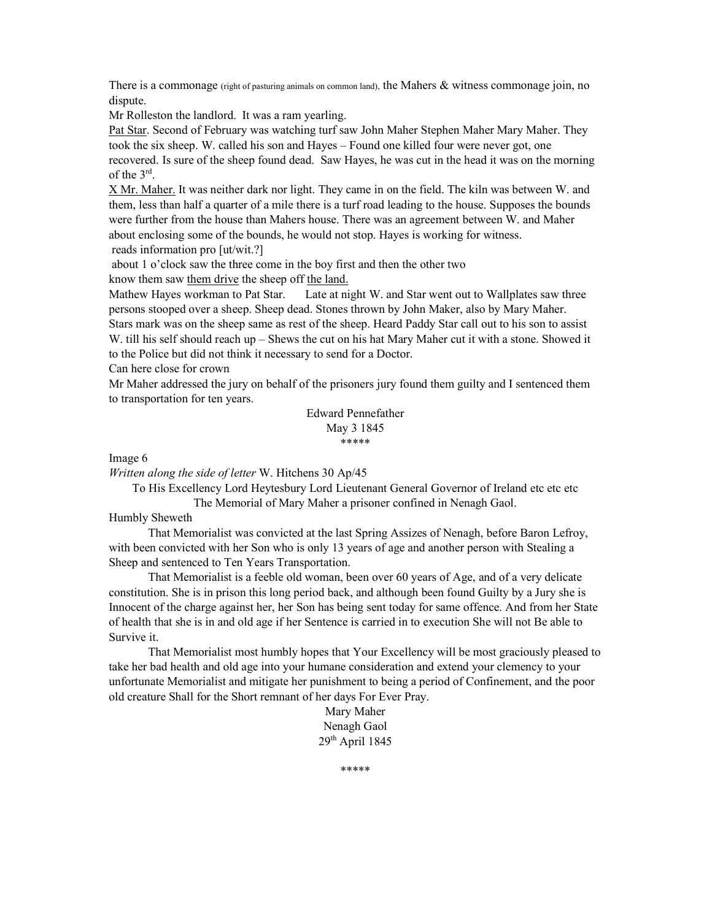There is a commonage (right of pasturing animals on common land), the Mahers & witness commonage join, no dispute.

Mr Rolleston the landlord. It was a ram yearling.

Pat Star. Second of February was watching turf saw John Maher Stephen Maher Mary Maher. They took the six sheep. W. called his son and Hayes – Found one killed four were never got, one recovered. Is sure of the sheep found dead. Saw Hayes, he was cut in the head it was on the morning of the  $3^{\text{rd}}$ .

X Mr. Maher. It was neither dark nor light. They came in on the field. The kiln was between W. and them, less than half a quarter of a mile there is a turf road leading to the house. Supposes the bounds were further from the house than Mahers house. There was an agreement between W. and Maher about enclosing some of the bounds, he would not stop. Hayes is working for witness. reads information pro [ut/wit.?]

about 1 o'clock saw the three come in the boy first and then the other two

know them saw them drive the sheep off the land.

Mathew Hayes workman to Pat Star. Late at night W. and Star went out to Wallplates saw three persons stooped over a sheep. Sheep dead. Stones thrown by John Maker, also by Mary Maher.

Stars mark was on the sheep same as rest of the sheep. Heard Paddy Star call out to his son to assist W. till his self should reach up – Shews the cut on his hat Mary Maher cut it with a stone. Showed it to the Police but did not think it necessary to send for a Doctor.

Can here close for crown

Mr Maher addressed the jury on behalf of the prisoners jury found them guilty and I sentenced them to transportation for ten years.

> Edward Pennefather May 3 1845 \*\*\*\*\*

Image 6

Written along the side of letter W. Hitchens 30 Ap/45

To His Excellency Lord Heytesbury Lord Lieutenant General Governor of Ireland etc etc etc The Memorial of Mary Maher a prisoner confined in Nenagh Gaol.

## Humbly Sheweth

 That Memorialist was convicted at the last Spring Assizes of Nenagh, before Baron Lefroy, with been convicted with her Son who is only 13 years of age and another person with Stealing a Sheep and sentenced to Ten Years Transportation.

 That Memorialist is a feeble old woman, been over 60 years of Age, and of a very delicate constitution. She is in prison this long period back, and although been found Guilty by a Jury she is Innocent of the charge against her, her Son has being sent today for same offence. And from her State of health that she is in and old age if her Sentence is carried in to execution She will not Be able to Survive it.

 That Memorialist most humbly hopes that Your Excellency will be most graciously pleased to take her bad health and old age into your humane consideration and extend your clemency to your unfortunate Memorialist and mitigate her punishment to being a period of Confinement, and the poor old creature Shall for the Short remnant of her days For Ever Pray.

> Mary Maher Nenagh Gaol 29th April 1845

> > \*\*\*\*\*